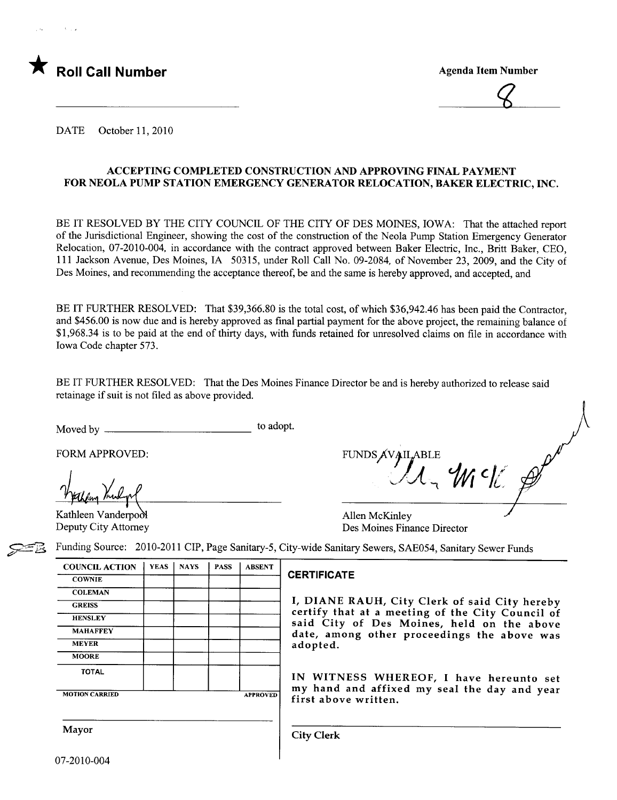

 $\mathcal{Q}$ 

DATE October 11, 2010

#### ACCEPTING COMPLETED CONSTRUCTION AND APPROVING FINAL PAYMENT FOR NEOLA PUMP STATION EMERGENCY GENERATOR RELOCATION, BAKER ELECTRIC, INC.

BE IT RESOLVED BY THE CITY COUNCIL OF THE CITY OF DES MOINES, IOWA: That the attached report of the Jurisdictional Engineer, showing the cost of the construction of the Neola Pump Station Emergency Generator Relocation, 07-2010-004, in accordance with the contract approved between Baker Electric, Inc., Britt Baker, CEO, 111 Jackson Avenue, Des Moines, IA 50315, under Roll Call No. 09-2084, of November 23,2009, and the City of Des Moines, and recommending the acceptance thereof, be and the same is hereby approved, and accepted, and

BE IT FURTHER RESOLVED: That \$39,366.80 is the total cost, of which \$36,942.46 has been paid the Contractor, and \$456.00 is now due and is hereby approved as final partial payment for the above project, the remaining balance of \$1,968.34 is to be paid at the end of thirty days, with funds retained for unresolved claims on file in accordance with Iowa Code chapter 573.

BE IT FURTHER RESOLVED: That the Des Moines Finance Director be and is hereby authorized to release said retainage if suit is not fied as above provided.

Moved by to adopt.

Weekeling Voulgol<br>Kathleen Vanderpool

Deputy City Attorney

FORM APPROVED: FUNDS  $\overline{A}V \overline{A}$  $L$   $W$ 

Allen McKinley Des Moines Finance Director

COUNCIL ACTION | YEAS | NAYS | PASS | ABSENT COWNIE COWNIE **COLEMAN HENSLEY MOORE** TOTAL | | | | | IN WITNESS WHEREOF, I have hereunto set

Funding Source: 2010-2011 CIP, Page Sanitary-5, City-wide Sanitary Sewers, SAE054, Sanitary Sewer Funds

GREISS **II, DIANE RAUH, City Clerk of said City hereby** certify that at a meeting of the City Council of said City of Des Moines, held on the above MAHAFFEY date, among other proceedings the above was adopted.

 $\frac{1}{\text{MOTION CARRED}}$  are  $\frac{1}{\text{APPROVED}}$  my hand and affixed my seal the day and year first above written.

Mayor Gity Clerk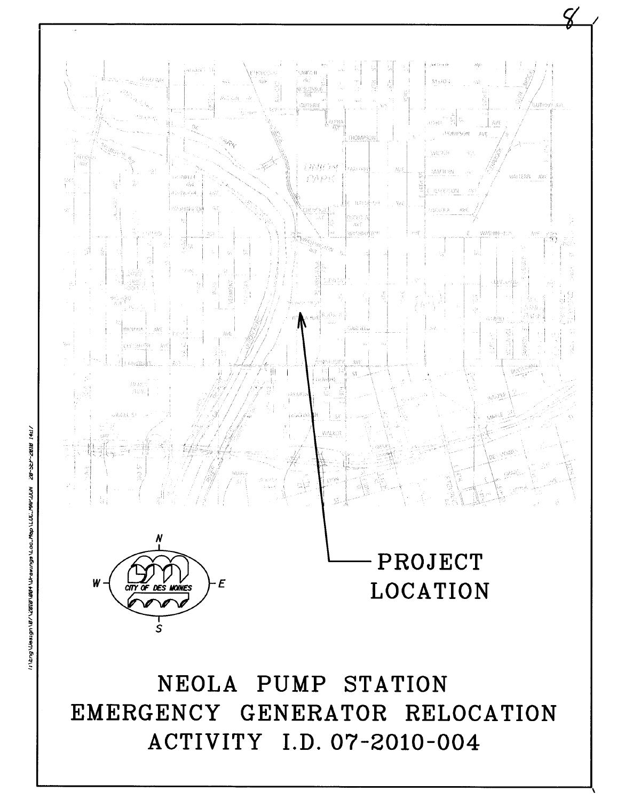### NEOLA PUMP STATION EMERGENCY GENERATOR RELOCATION ACTIVITY I.D. 07-2010-004



# PROJECT **LOCATION**

 $\bm{\mathcal{Q}}$ 

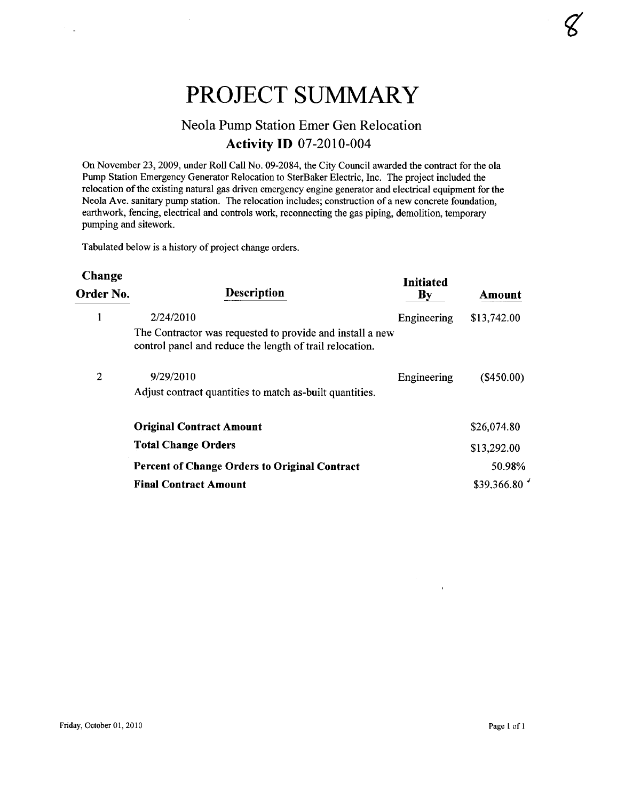## PROJECT SUMMARY

## Neola Pump Station Emer Gen Relocation **Activity ID 07-2010-004**

On November 23,2009, under Roll Call No. 09-2084, the City Council awarded the contract for the ola Pump Station Emergency Generator Relocation to SterBaker Electric, Inc. The project included the relocation of the existing natural gas driven emergency engine generator and electrical equipment for the Neola Ave. sanitary pump station. The relocation includes; construction of a new concrete foundation, earthwork, fencing, electrical and controls work, reconnecting the gas piping, demolition, temporary pumping and sitework.

Tabulated below is a history of project change orders.

| <b>Change</b><br>Order No. | <b>Description</b>                                                                                                    | Initiated<br>$\mathbf{B}\mathbf{y}$ | Amount       |
|----------------------------|-----------------------------------------------------------------------------------------------------------------------|-------------------------------------|--------------|
|                            | 2/24/2010                                                                                                             | Engineering                         | \$13,742.00  |
|                            | The Contractor was requested to provide and install a new<br>control panel and reduce the length of trail relocation. |                                     |              |
| 2                          | 9/29/2010                                                                                                             | Engineering                         | $(\$450.00)$ |
|                            | Adjust contract quantities to match as-built quantities.                                                              |                                     |              |
|                            | <b>Original Contract Amount</b>                                                                                       |                                     | \$26,074.80  |
|                            | <b>Total Change Orders</b>                                                                                            |                                     | \$13,292.00  |
|                            | <b>Percent of Change Orders to Original Contract</b>                                                                  |                                     | 50.98%       |
|                            | <b>Final Contract Amount</b>                                                                                          |                                     | \$39,366.80  |

 $\lambda$ 

 $\varphi$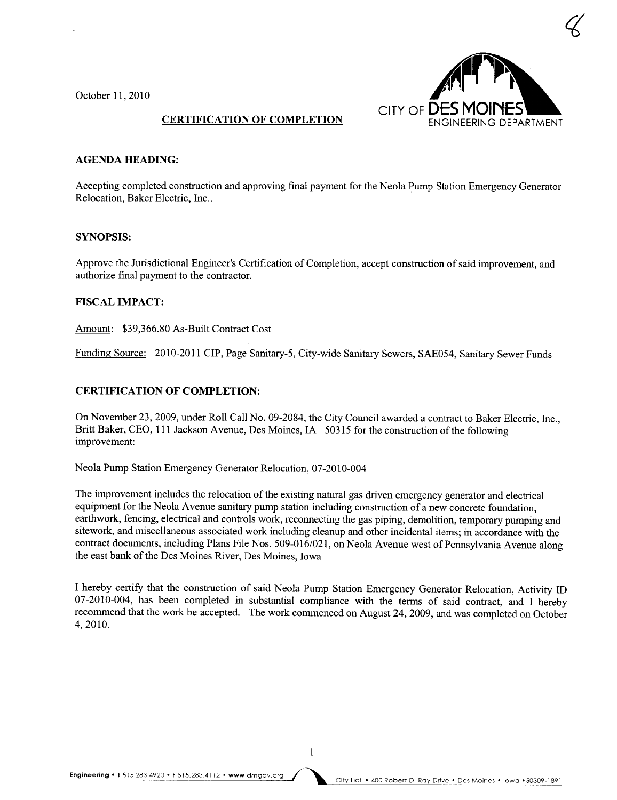October 11, 2010



#### CERTIFICATION OF COMPLETION

#### AGENDA HEADING:

Accepting completed construction and approving final payment for the Neola Pump Station Emergency Generator Relocation, Baker Electric, Inc..

#### SYNOPSIS:

Approve the Jurisdictional Engineer's Certification of Completion, accept construction of said improvement, and authorize final payment to the contractor.

#### FISCAL IMPACT:

Amount: \$39,366.80 As-Built Contract Cost

Funding Source: 2010-2011 CIP, Page Sanitary-5, City-wide Sanitary Sewers, SAE054, Sanitary Sewer Funds

#### CERTIFICATION OF COMPLETION:

On November 23, 2009, under Roll Call No. 09-2084, the City Council awarded a contract to Baker Electric, Inc., Britt Baker, CEO, 111 Jackson Avenue, Des Moines, IA 50315 for the construction of the following improvement:

Neola Pump Station Emergency Generator Relocation, 07-2010-004

The improvement includes the relocation of the existing natural gas driven emergency generator and electrical equipment for the Neola Avenue sanitary pump station including construction of a new concrete foundation, earthwork, fencing, electrical and controls work, reconnecting the gas piping, demolition, temporary pumping and sitework, and miscellaneous associated work including cleanup and other incidental items; in accordance with the contract documents, including Plans File Nos. 509-016/021, on Neola Avenue west of Pennsylvania Avenue along the east bank of the Des Moines River, Des Moines, Iowa

I hereby certify that the construction of said Neola Pump Station Emergency Generator Relocation, Activity ID 07-2010-004, has been completed in substantial compliance with the terms of said contract, and I hereby recommend that the work be accepted. The work commenced on August 24, 2009, and was completed on October 4,2010.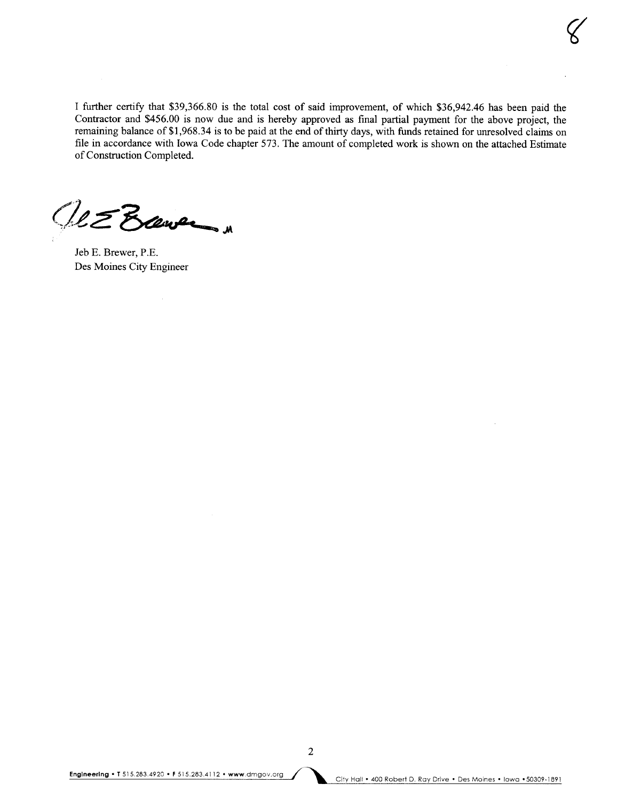I further certify that \$39,366.80 is the total cost of said improvement, of which \$36,942.46 has been paid the Contractor and \$456.00 is now due and is hereby approved as final partial payment for the above project, the remaining balance of \$1,968.34 is to be paid at the end of thirty days, with funds retained for unresolved claims on file in accordance with Iowa Code chapter 573. The amount of completed work is shown on the attached Estimate of Construction Completed.

UE Baver

Jeb E. Brewer, P.E. Des Moines City Engineer